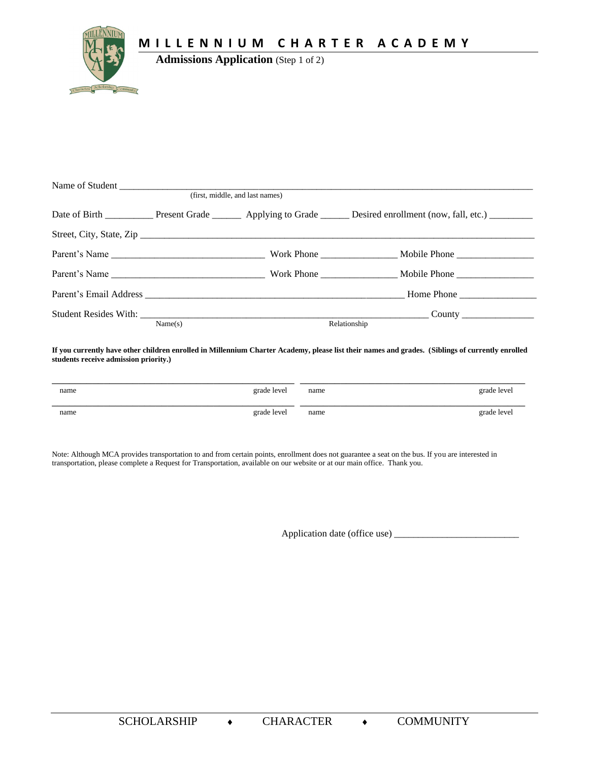MILLENNIUM CHARTER ACADEMY



**Admissions Application** (Step 1 of 2)

| (first, middle, and last names) |  |              |  |  |
|---------------------------------|--|--------------|--|--|
|                                 |  |              |  |  |
|                                 |  |              |  |  |
|                                 |  |              |  |  |
|                                 |  |              |  |  |
|                                 |  |              |  |  |
|                                 |  |              |  |  |
| Name(s)                         |  | Relationship |  |  |

If you currently have other children enrolled in Millennium Charter Academy, please list their names and grades. (Siblings of currently enrolled students receive admission priority.)

| name | grade level | name | grade level |
|------|-------------|------|-------------|
| name | grade level | name | grade level |

Note: Although MCA provides transportation to and from certain points, enrollment does not guarantee a seat on the bus. If you are interested in transportation, please complete a Request for Transportation, available on our website or at our main office. Thank you.